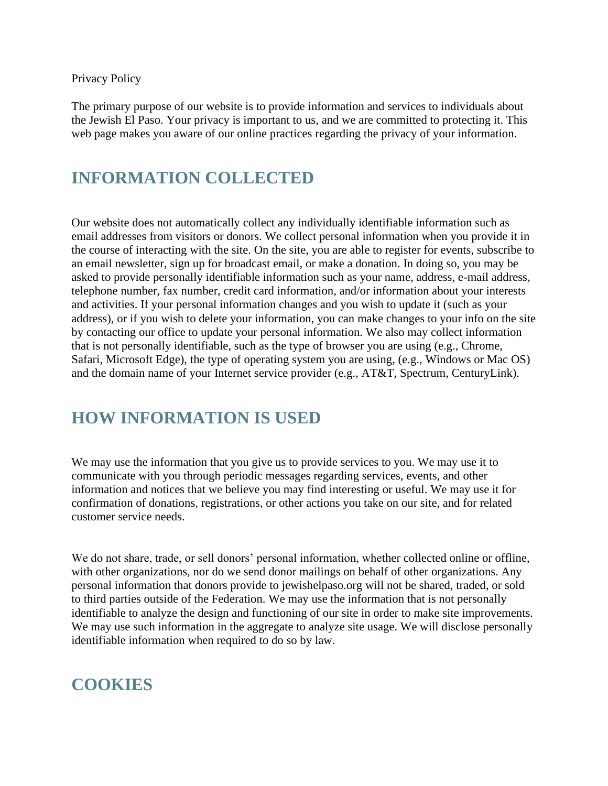Privacy Policy

The primary purpose of our website is to provide information and services to individuals about the Jewish El Paso. Your privacy is important to us, and we are committed to protecting it. This web page makes you aware of our online practices regarding the privacy of your information.

# **INFORMATION COLLECTED**

Our website does not automatically collect any individually identifiable information such as email addresses from visitors or donors. We collect personal information when you provide it in the course of interacting with the site. On the site, you are able to register for events, subscribe to an email newsletter, sign up for broadcast email, or make a donation. In doing so, you may be asked to provide personally identifiable information such as your name, address, e-mail address, telephone number, fax number, credit card information, and/or information about your interests and activities. If your personal information changes and you wish to update it (such as your address), or if you wish to delete your information, you can make changes to your info on the site by contacting our office to update your personal information. We also may collect information that is not personally identifiable, such as the type of browser you are using (e.g., Chrome, Safari, Microsoft Edge), the type of operating system you are using, (e.g., Windows or Mac OS) and the domain name of your Internet service provider (e.g., AT&T, Spectrum, CenturyLink).

#### **HOW INFORMATION IS USED**

We may use the information that you give us to provide services to you. We may use it to communicate with you through periodic messages regarding services, events, and other information and notices that we believe you may find interesting or useful. We may use it for confirmation of donations, registrations, or other actions you take on our site, and for related customer service needs.

We do not share, trade, or sell donors' personal information, whether collected online or offline, with other organizations, nor do we send donor mailings on behalf of other organizations. Any personal information that donors provide to jewishelpaso.org will not be shared, traded, or sold to third parties outside of the Federation. We may use the information that is not personally identifiable to analyze the design and functioning of our site in order to make site improvements. We may use such information in the aggregate to analyze site usage. We will disclose personally identifiable information when required to do so by law.

# **COOKIES**